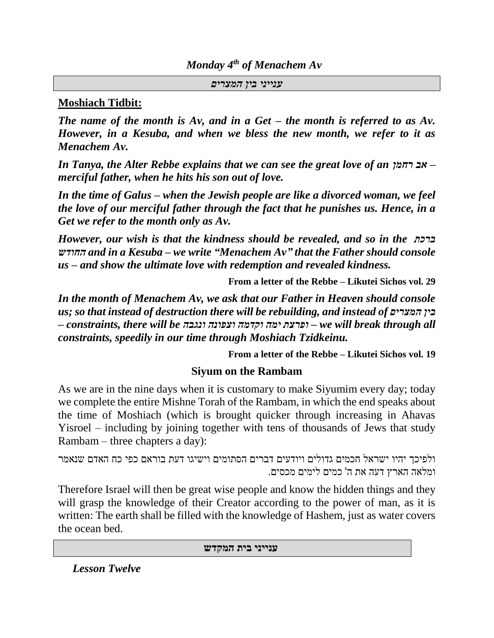*Monday 4th of Menachem Av*

*ענייני בין המצרים*

### **Moshiach Tidbit:**

*The name of the month is Av, and in a Get – the month is referred to as Av. However, in a Kesuba, and when we bless the new month, we refer to it as Menachem Av.*

*In Tanya, the Alter Rebbe explains that we can see the great love of an רחמן אב– merciful father, when he hits his son out of love.*

*In the time of Galus – when the Jewish people are like a divorced woman, we feel the love of our merciful father through the fact that he punishes us. Hence, in a Get we refer to the month only as Av.*

*However, our wish is that the kindness should be revealed, and so in the ברכת החודש and in a Kesuba – we write "Menachem Av" that the Father should console us – and show the ultimate love with redemption and revealed kindness.*

**From a letter of the Rebbe – Likutei Sichos vol. 29**

*In the month of Menachem Av, we ask that our Father in Heaven should console us; so that instead of destruction there will be rebuilding, and instead of המצרים בין – constraints, there will be ונגבה וצפונה וקדמה ימה ופרצת – we will break through all constraints, speedily in our time through Moshiach Tzidkeinu.*

**From a letter of the Rebbe – Likutei Sichos vol. 19**

### **Siyum on the Rambam**

As we are in the nine days when it is customary to make Siyumim every day; today we complete the entire Mishne Torah of the Rambam, in which the end speaks about the time of Moshiach (which is brought quicker through increasing in Ahavas Yisroel – including by joining together with tens of thousands of Jews that study Rambam – three chapters a day):

```
ולפיכך יהיו ישראל חכמים גדולים ויודעים דברים הסתומים וישיגו דעת בוראם כפי כח האדם שנאמר 
                                    ומלאה הארץ דעה את ה' כמים לימים מכסים.
```
Therefore Israel will then be great wise people and know the hidden things and they will grasp the knowledge of their Creator according to the power of man, as it is written: The earth shall be filled with the knowledge of Hashem, just as water covers the ocean bed.

**ענייני בית המקדש** 

*Lesson Twelve*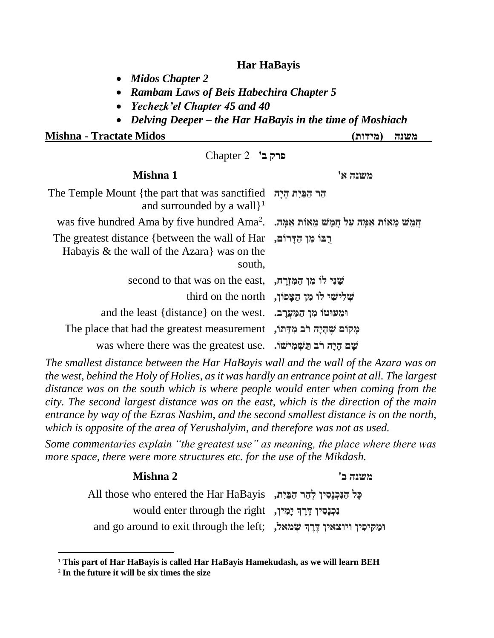#### **Har HaBayis**

- *Midos Chapter 2*
- *Rambam Laws of Beis Habechira Chapter 5*
- *Yechezk'el Chapter 45 and 40*
- *Delving Deeper – the Har HaBayis in the time of Moshiach*

**Mishna - Tractate Midos )מידות )משנה** 

**פרק ב'** 2 Chapter

| Mishna 1                                                                                                  | משנה א'                                            |  |
|-----------------------------------------------------------------------------------------------------------|----------------------------------------------------|--|
| The Temple Mount {the part that was sanctified $\pi$ הר הַבַּיִת הָיָה<br>and surrounded by a wall $\}^1$ |                                                    |  |
| mas five hundred Ama by five hundred Ama <sup>2</sup> . הַמֵּשׁ מֵאוֹת אַמַּה עַל חֲמֵשׁ מֵאוֹת אַמַּה ע  |                                                    |  |
| The greatest distance {between the wall of Har<br>Habayis & the wall of the Azara was on the<br>south,    |                                                    |  |
| second to that was on the east, הַמְּזְרַה,                                                               |                                                    |  |
|                                                                                                           | third on the north נְשְׁלִישִׁי לוֹ מִן הַצָּפוֹן, |  |
| and the least {distance} on the west.                                                                     | ומעוטו מן המערב.                                   |  |
| מַקוֹם שֵׁהַיָה רֹב מִדָּתוֹ, The place that had the greatest measurement                                 |                                                    |  |
| was where there was the greatest use. שם הַיַּה רֹב תַּשְׁמְישׁוּ.                                        |                                                    |  |

*The smallest distance between the Har HaBayis wall and the wall of the Azara was on the west, behind the Holy of Holies, as it was hardly an entrance point at all. The largest distance was on the south which is where people would enter when coming from the city. The second largest distance was on the east, which is the direction of the main entrance by way of the Ezras Nashim, and the second smallest distance is on the north, which is opposite of the area of Yerushalyim, and therefore was not as used.*

*Some commentaries explain "the greatest use" as meaning, the place where there was more space, there were more structures etc. for the use of the Mikdash.*

# **משנה ב' 2 Mishna כִּל הַנִּכְנַסִין לְהֵר הַבֵּיִת, All those who entered the Har HaBayis נִכְנַסִין דֶּרֵךְ יַמִִין,** would enter through the right **and go around to exit through the left;** וּמַקִיפִּין ויוצאין דֶּרֶךְ שְׂמאל,

<sup>1</sup> **This part of Har HaBayis is called Har HaBayis Hamekudash, as we will learn BEH**

<sup>2</sup> **In the future it will be six times the size**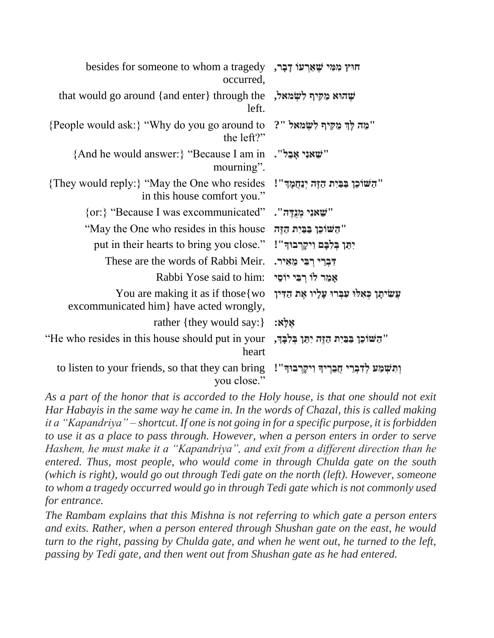| besides for someone to whom a tragedy הוּץ מִמְּי שֵׁאֵרְעוֹ דָבָר,<br>occurred, |                                                |
|----------------------------------------------------------------------------------|------------------------------------------------|
| that would go around {and enter} through the שְׁהוּא מַקִּיף לְשָׂמֹאל,<br>left. |                                                |
| {People would ask:} "Why do you go around to<br>the $left?"$                     | "מַה לַדְּ מַקִּיף לְשָׂמאל "?                 |
| {And he would answer: { "Because I am in<br>mourning".                           | ''שֵׁאנִי אָבֵל".                              |
| {They would reply:} "May the One who resides<br>in this house comfort you."      | "הַשׁוֹכֵן בּבּיִת הַזֶּה יְנַחֲמָךּ"!         |
| {or: } "Because I was excommunicated"                                            | "שֵׁאנִי מְנֻדֶּה".                            |
| "May the One who resides in this house"                                          | "השוכן בבית הזה                                |
| put in their hearts to bring you close." "יִתֵּן בִּלְבָּם וְיקֵרְבוּדִּ".       |                                                |
| These are the words of Rabbi Meir.                                               | דִּבְרֵי רְבִּי מֵאִיר.                        |
| Rabbi Yose said to him:                                                          | אַמַר לוֹ רִבִּי יוֹסֵי                        |
| You are making it as if those {wo}<br>excommunicated him } have acted wrongly,   | עֲשִׂיתָן כְּאַלוּ עִבְרוּ עָלְיו אֶת הַדִּין  |
| rather {they would say:}                                                         | אֵלָּא:                                        |
| "He who resides in this house should put in your<br>heart                        | "הַשׁוֹכֵן בַּבַּיִת הַזֶּה יִתֵּן בְּלִבָּךְ, |
| to listen to your friends, so that they can bring<br>you close."                 | וִתְשָׁמַע לִדְבְרֵי חֲבְרִיךְ וִיקַרְבוּךְ''! |

*As a part of the honor that is accorded to the Holy house, is that one should not exit Har Habayis in the same way he came in. In the words of Chazal, this is called making it a "Kapandriya" – shortcut. If one is not going in for a specific purpose, it is forbidden to use it as a place to pass through. However, when a person enters in order to serve Hashem, he must make it a "Kapandriya", and exit from a different direction than he entered. Thus, most people, who would come in through Chulda gate on the south (which is right), would go out through Tedi gate on the north (left). However, someone to whom a tragedy occurred would go in through Tedi gate which is not commonly used for entrance.*

*The Rambam explains that this Mishna is not referring to which gate a person enters and exits. Rather, when a person entered through Shushan gate on the east, he would turn to the right, passing by Chulda gate, and when he went out, he turned to the left, passing by Tedi gate, and then went out from Shushan gate as he had entered.*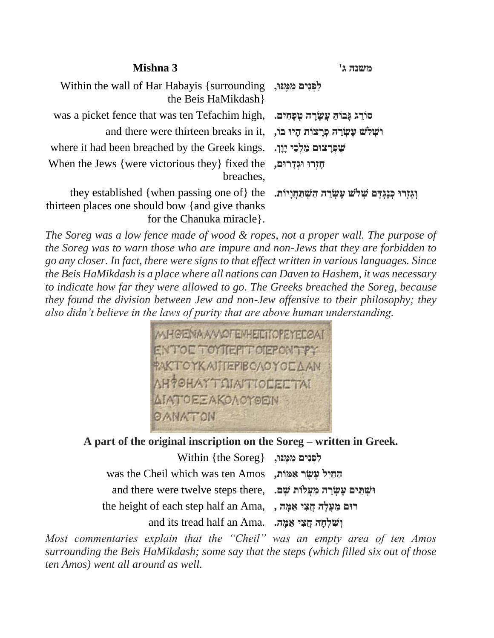| Mishna 3                                                                                                                                                                                | משנה ג'      |
|-----------------------------------------------------------------------------------------------------------------------------------------------------------------------------------------|--------------|
| Within the wall of Har Habayis {surrounding}, לְפְנִים מְמֵנוּ,<br>the Beis HaMikdash}                                                                                                  |              |
| was a picket fence that was ten Tefachim high, שִׁמַּחִים. was a picket fence that was ten Tefachim high,                                                                               |              |
| and there were thirteen breaks in it, וֹשְלֹשׁ עֵשְׂרֵה פְּרַצוֹת הָיוּ בוֹ                                                                                                             |              |
| שִׁפְּרַצוּם מַלְכֵי יָוֵן.  .where it had been breached by the Greek kings                                                                                                             |              |
| When the Jews {were victorious they} fixed the<br>breaches.                                                                                                                             | חזרו וגדרום, |
| they established { when passing one of} the נִאֲתַּחֲוָיוֹת. they established { when passing one of} the<br>thirteen places one should bow {and give thanks<br>for the Chanuka miracle. |              |

*The Soreg was a low fence made of wood & ropes, not a proper wall. The purpose of the Soreg was to warn those who are impure and non-Jews that they are forbidden to go any closer. In fact, there were signs to that effect written in various languages. Since the Beis HaMikdash is a place where all nations can Daven to Hashem, it was necessary to indicate how far they were allowed to go. The Greeks breached the Soreg, because they found the division between Jew and non-Jew offensive to their philosophy; they also didn't believe in the laws of purity that are above human understanding.* 



**A part of the original inscription on the Soreg – written in Greek.**

**לִפְנִים מִמֵּנוּ, {the Soreg } הַ חַ יִל עֶׁשֶׁ ר אַ מֹות,** Amos ten was which Cheil the was **and there were twelve steps there,** וּשְׁתֵּים עֲשְׂרֵה מַעֲלֹוֹת שֵׁם. **the height of each step half an Ama, , , הַצִּי אַמֵּה, וְשִׁלְחָהּ חֵצִי אִמֵּה.** .and its tread half an Ama

*Most commentaries explain that the "Cheil" was an empty area of ten Amos surrounding the Beis HaMikdash; some say that the steps (which filled six out of those ten Amos) went all around as well.*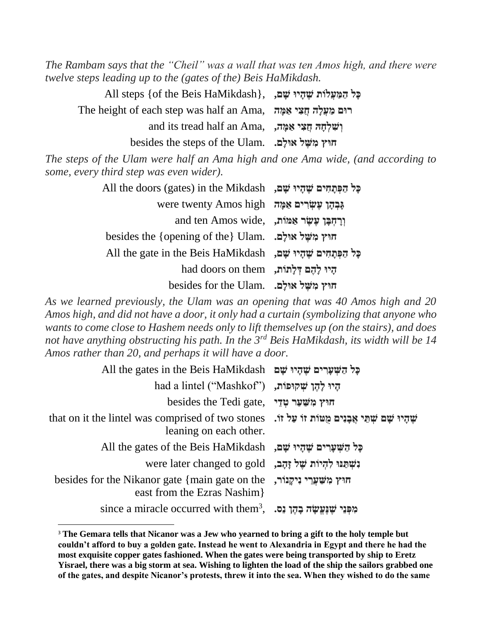*The Rambam says that the "Cheil" was a wall that was ten Amos high, and there were twelve steps leading up to the (gates of the) Beis HaMikdash.*

**כָל הַ מַ עֲלֹות ׁשֶׁ הָ יּו ׁשָ ם,** ,{HaMikdash Beis the of {steps All **The height of each step was half an Ama, הַצִּי אַמֵּה הַצִּי אַמֵּה and its tread half an Ama.** ישלחה חצי אמה, **חּוץ מִ ּׁשֶׁ ל אּולָם.** .Ulam the of steps the besides

*The steps of the Ulam were half an Ama high and one Ama wide, (and according to some, every third step was even wider).* 

| פֵל הַפְּתֵחִים שֵׁהָיוּ שֵׁם, All the doors (gates) in the Mikdash |  |
|---------------------------------------------------------------------|--|
| אָבְהָן עֵשׂרִים אַמָּה were twenty Amos high                       |  |
| and ten Amos wide, יִרְחִבָּּן עֵשֶׂר אֲמּוֹת,                      |  |
| besides the {opening of the} Ulam. הוּץ מִשֶּׁל אוּלַם.             |  |
| פְל הַפְּתַחִים שֵׁהָיוּ שַׁםּ, All the gate in the Beis HaMikdash  |  |
| had doors on them הָיוּ לַהֵם דְּלַתּוֹת,                           |  |
| besides for the Ulam. חוץ משל אולם.                                 |  |

*As we learned previously, the Ulam was an opening that was 40 Amos high and 20 Amos high, and did not have a door, it only had a curtain (symbolizing that anyone who wants to come close to Hashem needs only to lift themselves up (on the stairs), and does not have anything obstructing his path. In the 3rd Beis HaMikdash, its width will be 14 Amos rather than 20, and perhaps it will have a door.* 

| All the gates in the Beis HaMikdash פָּל הַשִּׁעֲרִים שֵׁהָיוּ שָׁם                                                             |  |
|---------------------------------------------------------------------------------------------------------------------------------|--|
| had a lintel ("Mashkof") הָיוּ לָהֵן שְׁקוּפּוֹת,                                                                               |  |
| besides the Tedi gate, חוץ משער טדי                                                                                             |  |
| שֵׁהַיוּ שֵׁם שִׁתֵּי אֲבַנִים מַטּוֹת זוֹ עַל זוֹ. that on it the lintel was comprised of two stones<br>leaning on each other. |  |
| All the gates of the Beis HaMikdash ,פֶּל הַשְׁעָרִים שֶׁהָיוּ שָׁם                                                             |  |
| were later changed to gold וִעֲל זָהָב, או                                                                                      |  |
| besides for the Nikanor gate {main gate on the , הויץ משערי ניקנור<br>east from the Ezras Nashim                                |  |
| since a miracle occurred with them <sup>3</sup> , .כְּהֶן נֵסּה since a miracle occurred with them <sup>3</sup> ,               |  |

<sup>&</sup>lt;sup>3</sup> The Gemara tells that Nicanor was a Jew who yearned to bring a gift to the holy temple but **couldn't afford to buy a golden gate. Instead he went to Alexandria in Egypt and there he had the most exquisite copper gates fashioned. When the gates were being transported by ship to Eretz Yisrael, there was a big storm at sea. Wishing to lighten the load of the ship the sailors grabbed one of the gates, and despite Nicanor's protests, threw it into the sea. When they wished to do the same**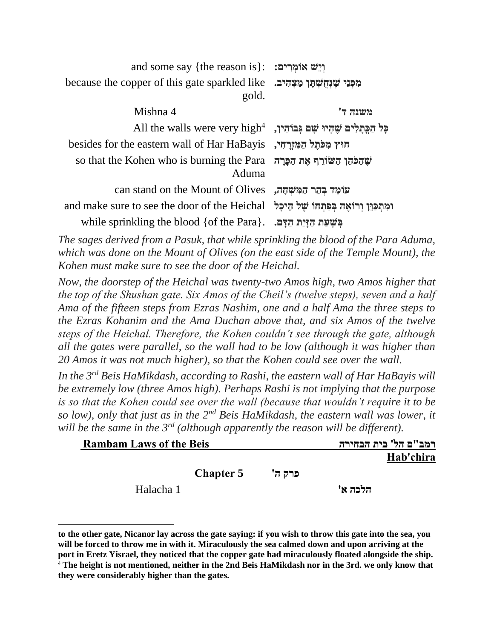| and some say {the reason is}: יְיֵשׁ אוֹמְרִים:                                                 |         |
|-------------------------------------------------------------------------------------------------|---------|
| because the copper of this gate sparkled like גּפְּנֵי שֵׁנְחָשְׁתַּךְ מַצְהָיב.<br>gold.       |         |
| Mishna 4                                                                                        | משנה ד' |
| All the walls were very high <sup>4</sup> , בּוֹהִין, All the walls were very high <sup>4</sup> |         |
| besides for the eastern wall of Har HaBayis הוּץ מִכֹּתֵל הַמְּזוָרְהִי,                        |         |
| so that the Kohen who is burning the Para שְׁהַכֹּהֵן הַשּׂוֹרֵף אֵת הַכָּּרָה<br>Aduma         |         |
| כומה בהר המשחה, can stand on the Mount of Olives                                                |         |
| and make sure to see the door of the Heichal ומִתְכַּוֵּן וְרוֹאֵה בִּפְתְחוֹ שֶׁל הֵיכָל       |         |
| while sprinkling the blood {of the Para}. בִּשְׁעַת הַזַּיַת הַדָּם. .                          |         |

*The sages derived from a Pasuk, that while sprinkling the blood of the Para Aduma, which was done on the Mount of Olives (on the east side of the Temple Mount), the Kohen must make sure to see the door of the Heichal.* 

*Now, the doorstep of the Heichal was twenty-two Amos high, two Amos higher that the top of the Shushan gate. Six Amos of the Cheil's (twelve steps), seven and a half Ama of the fifteen steps from Ezras Nashim, one and a half Ama the three steps to the Ezras Kohanim and the Ama Duchan above that, and six Amos of the twelve steps of the Heichal. Therefore, the Kohen couldn't see through the gate, although all the gates were parallel, so the wall had to be low (although it was higher than 20 Amos it was not much higher), so that the Kohen could see over the wall.*

*In the 3rd Beis HaMikdash, according to Rashi, the eastern wall of Har HaBayis will be extremely low (three Amos high). Perhaps Rashi is not implying that the purpose is so that the Kohen could see over the wall (because that wouldn't require it to be so low), only that just as in the 2nd Beis HaMikdash, the eastern wall was lower, it will be the same in the 3rd (although apparently the reason will be different).*

| <b>Rambam Laws of the Beis</b> |                  |        |         | רמב"ם הל' בית הבחירה |
|--------------------------------|------------------|--------|---------|----------------------|
|                                |                  |        |         | Hab'chira            |
|                                | <b>Chapter 5</b> | פרק ה' |         |                      |
| Halacha 1                      |                  |        | הלכה א' |                      |

**to the other gate, Nicanor lay across the gate saying: if you wish to throw this gate into the sea, you will be forced to throw me in with it. Miraculously the sea calmed down and upon arriving at the port in Eretz Yisrael, they noticed that the copper gate had miraculously floated alongside the ship.**  <sup>4</sup> **The height is not mentioned, neither in the 2nd Beis HaMikdash nor in the 3rd. we only know that they were considerably higher than the gates.**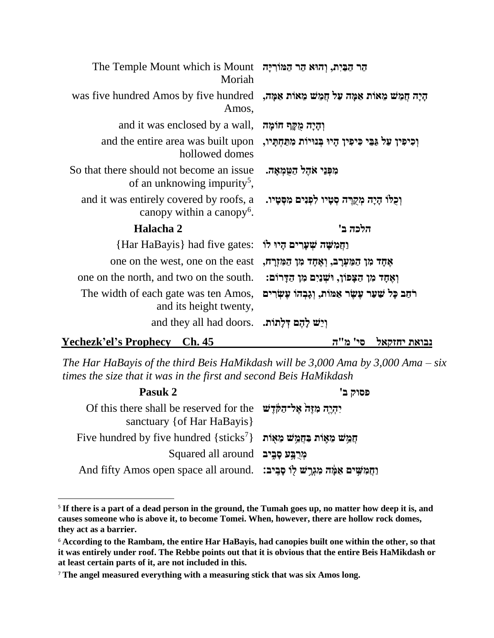| הר הַבַּיִת, וְהוּא הַר הַמּוֹרִיָּה Mount is Mount הַר הַבֵּיִת, וְהוּא הַר<br>Moriah              |                                                              |
|-----------------------------------------------------------------------------------------------------|--------------------------------------------------------------|
| הָיָה חֲמֵשׁ מֵאוֹת אַמָּה עַל חֲמֵשׁ מֵאוֹת אַמָּה, was five hundred Amos by five hundred<br>Amos, |                                                              |
| and it was enclosed by a wall,                                                                      | וְהָיָה מֻקֵּף חוֹמָה                                        |
| and the entire area was built upon<br>hollowed domes                                                | וְכִיפִין עַל גַּבֵּי כִּיפִין הָיוּ בְּנוּיוֹת מִתַּחְתָיו, |
| So that there should not become an issue.<br>of an unknowing impurity <sup>5</sup> ,                | מִפְּנֵי אֹהֶל הַטְמְאָה.                                    |
| and it was entirely covered by roofs, a<br>can<br>opy within a canopy <sup>6</sup> .                | וִכְלֹוֹ הָיָה מִקְרֵה סְטַיו לִפְנִים מִסְטָיו.             |
| Halacha 2                                                                                           | הלכה ב'                                                      |
| {Har HaBayis} had five gates:                                                                       | וַחֲמִשָּׁה שִׁעֲרִים הָיוּ לוֹ                              |
| one on the west, one on the east                                                                    | אָחָד מִן הַמַּעְרָב, וְאֶחָד מִן הַמִּזְרָח,                |
| one on the north, and two on the south.                                                             | וְאֶחָד מִן הַצָּפוֹן, וּשְׁנַיִם מִן הַדָּרוֹם:             |
| The width of each gate was ten Amos,<br>and its height twenty,                                      | רֹחַב כָּל שַׁעַר עָשָׂר אַמּוֹת, וְגָבְהוֹ עָשְׂרִים        |
| and they all had doors. וְיֵשׁ לָהֶם דְּלַתּוֹת.                                                    |                                                              |
| Yechezk'el's Prophecy Ch. 45                                                                        | סי' מ"ה<br>נבואת יחזקאל                                      |

*The Har HaBayis of the third Beis HaMikdash will be 3,000 Ama by 3,000 Ama – six times the size that it was in the first and second Beis HaMikdash*

| Pasuk 2                                                                                               | פסוק ב' |
|-------------------------------------------------------------------------------------------------------|---------|
| יִהְיֶה מְזָה אֱלִ־הַקְּדֵּשׁ Of this there shall be reserved for the<br>sanctuary { of Har HaBayis } |         |
| Five hundred by five hundred {sticks <sup>7</sup> } הַמֵּשׁ מֵאָוֹת בַּחֲמֵשׁ הַאֲ                    |         |
| מִרְבֵּע סַבְיב Squared all around                                                                    |         |
| And fifty Amos open space all around. נִחֲמִשְׁיִם אַמְּׂה מִגְרֵשׁ לְוֹ פָבִיבּ:                     |         |

<sup>5</sup> **If there is a part of a dead person in the ground, the Tumah goes up, no matter how deep it is, and causes someone who is above it, to become Tomei. When, however, there are hollow rock domes, they act as a barrier.**

<sup>6</sup> **According to the Rambam, the entire Har HaBayis, had canopies built one within the other, so that it was entirely under roof. The Rebbe points out that it is obvious that the entire Beis HaMikdash or at least certain parts of it, are not included in this.**

<sup>7</sup> **The angel measured everything with a measuring stick that was six Amos long.**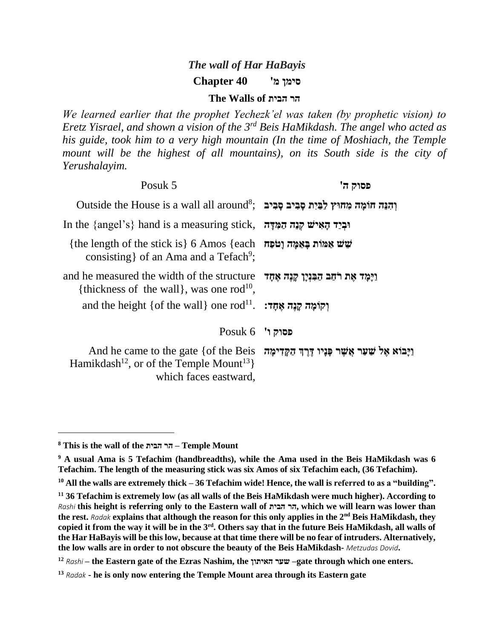# *The wall of Har HaBayis* **סימן מ'****40 Chapter**

#### **The Walls of הבית הר**

*We learned earlier that the prophet Yechezk'el was taken (by prophetic vision) to Eretz Yisrael, and shown a vision of the 3rd Beis HaMikdash. The angel who acted as his guide, took him to a very high mountain (In the time of Moshiach, the Temple*  mount will be the highest of all mountains), on its South side is the city of *Yerushalayim.*

| פסוק ה' | Posuk 5                                                                                                                                                                           |
|---------|-----------------------------------------------------------------------------------------------------------------------------------------------------------------------------------|
|         | Outside the House is a wall all around <sup>8</sup> ; וְהִנֵּה חוֹמָה מְחוּץ לַבַּיִת סָבִיב סָבִיב                                                                               |
|         | In the {angel's} hand is a measuring stick, הַמְּדָּה הַמְּדָּה וּבְיַד הַאִישׁ                                                                                                   |
|         | {the length of the stick is} 6 Amos {each שְׁשׁ אֲמּוֹת בַּאֲמַּה וַטֹּפָה<br>consisting of an Ama and a Tefach <sup>9</sup> ;                                                    |
|         | and he measured the width of the structure וַיָּמַד אֵת רֹחַב הַבְּנִיַן קָנֵה אֵחָד<br>{thickness of the wall}, was one rod <sup>10</sup> ,                                      |
|         | and the height {of the wall} one rod <sup>11</sup> . <b>: יְקוֹמֵה קְנֵה אֶחֶד</b>                                                                                                |
|         | $Posuk 6$ סוק ו'                                                                                                                                                                  |
|         | And he came to the gate {of the Beis זַקֲדִימָה And he came to the gate {of the Beis<br>Hamikdash <sup>12</sup> , or of the Temple Mount <sup>13</sup> }<br>which faces eastward, |

**<sup>8</sup> This is the wall of the הבית הר – Temple Mount**

**<sup>9</sup> A usual Ama is 5 Tefachim (handbreadths), while the Ama used in the Beis HaMikdash was 6 Tefachim. The length of the measuring stick was six Amos of six Tefachim each, (36 Tefachim).**

**<sup>10</sup> All the walls are extremely thick – 36 Tefachim wide! Hence, the wall is referred to as a "building".**

**<sup>11</sup> 36 Tefachim is extremely low (as all walls of the Beis HaMikdash were much higher). According to** *Rashi* **this height is referring only to the Eastern wall of הבית הר, which we will learn was lower than the rest.** *Radak* **explains that although the reason for this only applies in the 2nd Beis HaMikdash, they copied it from the way it will be in the 3rd . Others say that in the future Beis HaMikdash, all walls of the Har HaBayis will be this low, because at that time there will be no fear of intruders. Alternatively, the low walls are in order to not obscure the beauty of the Beis HaMikdash-** *Metzudas Dovid***.**

**<sup>12</sup>** *Rashi* **– the Eastern gate of the Ezras Nashim, the האיתון שער– gate through which one enters.**

**<sup>13</sup>** *Radak* **- he is only now entering the Temple Mount area through its Eastern gate**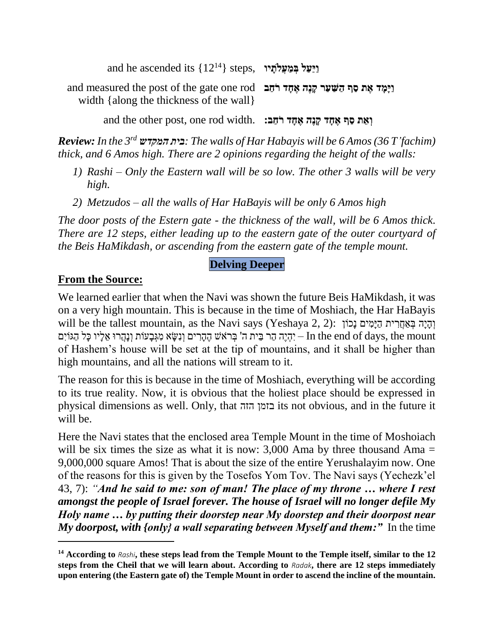$% \left\{ \left( \mathcal{A}^{12}\right) \right\}$  ,  $\left\{ \left( 12^{14}\right) \right\}$  ,  $\left\{ \left( 12^{14}\right) \right\}$  ,  $\left\{ \left( 12^{14}\right) \right\}$  ,  $\left\{ \left( 12^{14}\right) \right\}$ 

and measured the post of the gate one rod **וַיָמָ ד אֶׁ ת סַ ף הַ ּׁשַ עַר קָ נֶׁה אֶׁ חָ ד רֹחַ ב** width {along the thickness of the wall}

**and the other post, one rod width. וְאֵת סַף אֵחָד קִנֵּה אֵחָד רֹחַב:** 

*Review: In the 3rd המקדש בית: The walls of Har Habayis will be 6 Amos (36 T'fachim) thick, and 6 Amos high. There are 2 opinions regarding the height of the walls:*

- *1) Rashi – Only the Eastern wall will be so low. The other 3 walls will be very high.*
- *2) Metzudos – all the walls of Har HaBayis will be only 6 Amos high*

*The door posts of the Estern gate - the thickness of the wall, will be 6 Amos thick. There are 12 steps, either leading up to the eastern gate of the outer courtyard of the Beis HaMikdash, or ascending from the eastern gate of the temple mount.*

## **Delving Deeper**

## **From the Source:**

We learned earlier that when the Navi was shown the future Beis HaMikdash, it was on a very high mountain. This is because in the time of Moshiach, the Har HaBayis וְהִיה בְּאֲחֲרִית הַיָּמִים נִכוֹן : (Yeshaya 2, 2) וְהִיה בְּאֲחֲרִית הַיִּמִים נִכוֹן (Yeshaya 2, 2 יִהְיֶה הָר בֵּית ה' בְּרֹאֹשׁ הֶהֶרִים וְנָשָׂא מְגְּבַעוֹת וְנַהֲרוּ אֶלְיו כַּל הָגּוֹיִם – In the end of days, the mount of Hashem's house will be set at the tip of mountains, and it shall be higher than high mountains, and all the nations will stream to it.

The reason for this is because in the time of Moshiach, everything will be according to its true reality. Now, it is obvious that the holiest place should be expressed in physical dimensions as well. Only, that הזה בזמן its not obvious, and in the future it will be.

Here the Navi states that the enclosed area Temple Mount in the time of Moshoiach will be six times the size as what it is now:  $3,000$  Ama by three thousand Ama = 9,000,000 square Amos! That is about the size of the entire Yerushalayim now. One of the reasons for this is given by the Tosefos Yom Tov. The Navi says (Yechezk'el 43, 7): *"And he said to me: son of man! The place of my throne … where I rest amongst the people of Israel forever. The house of Israel will no longer defile My Holy name … by putting their doorstep near My doorstep and their doorpost near My doorpost, with {only} a wall separating between Myself and them:"* In the time

**<sup>14</sup> According to** *Rashi***, these steps lead from the Temple Mount to the Temple itself, similar to the 12 steps from the Cheil that we will learn about. According to** *Radak***, there are 12 steps immediately upon entering (the Eastern gate of) the Temple Mount in order to ascend the incline of the mountain.**